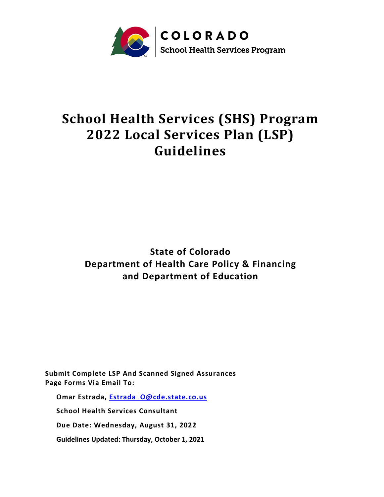

# **School Health Services (SHS) Program 2022 Local Services Plan (LSP) Guidelines**

**State of Colorado Department of Health Care Policy & Financing and Department of Education**

**Submit Complete LSP And Scanned Signed Assurances Page Forms Via Email To:**

**Omar Estrada, [Estrada\\_O@cde.state.co.us](mailto:Estrada_O@cde.state.co.us)**

**School Health Services Consultant**

**Due Date: Wednesday, August 31, 2022**

**Guidelines Updated: Thursday, October 1, 2021**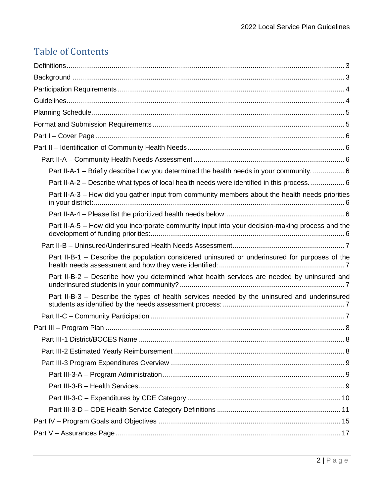### Table of Contents

| Part II-A-1 - Briefly describe how you determined the health needs in your community 6          |  |
|-------------------------------------------------------------------------------------------------|--|
| Part II-A-2 - Describe what types of local health needs were identified in this process.  6     |  |
| Part II-A-3 – How did you gather input from community members about the health needs priorities |  |
|                                                                                                 |  |
| Part II-A-5 - How did you incorporate community input into your decision-making process and the |  |
|                                                                                                 |  |
| Part II-B-1 - Describe the population considered uninsured or underinsured for purposes of the  |  |
| Part II-B-2 - Describe how you determined what health services are needed by uninsured and      |  |
| Part II-B-3 – Describe the types of health services needed by the uninsured and underinsured    |  |
|                                                                                                 |  |
|                                                                                                 |  |
|                                                                                                 |  |
|                                                                                                 |  |
|                                                                                                 |  |
|                                                                                                 |  |
|                                                                                                 |  |
|                                                                                                 |  |
|                                                                                                 |  |
|                                                                                                 |  |
|                                                                                                 |  |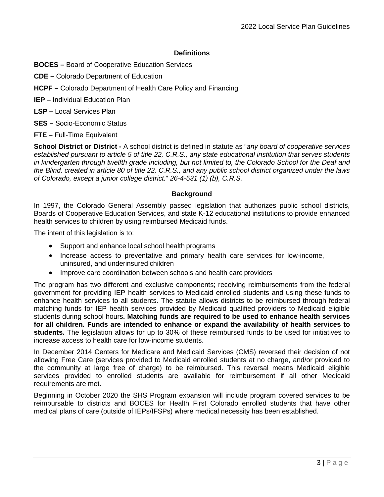#### **Definitions**

- <span id="page-2-0"></span>**BOCES –** Board of Cooperative Education Services
- **CDE –** Colorado Department of Education
- **HCPF –** Colorado Department of Health Care Policy and Financing
- **IEP –** Individual Education Plan
- **LSP –** Local Services Plan
- **SES –** Socio-Economic Status
- **FTE –** Full-Time Equivalent

**School District or District -** A school district is defined in statute as "*any board of cooperative services established pursuant to article 5 of title 22, C.R.S., any state educational institution that serves students in kindergarten through twelfth grade including, but not limited to, the Colorado School for the Deaf and the Blind, created in article 80 of title 22, C.R.S., and any public school district organized under the laws of Colorado, except a junior college district.*" *26-4-531 (1) (b), C.R.S.*

#### **Background**

<span id="page-2-1"></span>In 1997, the Colorado General Assembly passed legislation that authorizes public school districts, Boards of Cooperative Education Services, and state K-12 educational institutions to provide enhanced health services to children by using reimbursed Medicaid funds.

The intent of this legislation is to:

- Support and enhance local school health programs
- Increase access to preventative and primary health care services for low-income, uninsured, and underinsured children
- Improve care coordination between schools and health care providers

The program has two different and exclusive components; receiving reimbursements from the federal government for providing IEP health services to Medicaid enrolled students and using these funds to enhance health services to all students. The statute allows districts to be reimbursed through federal matching funds for IEP health services provided by Medicaid qualified providers to Medicaid eligible students during school hours**. Matching funds are required to be used to enhance health services for all children. Funds are intended to enhance or expand the availability of health services to students.** The legislation allows for up to 30% of these reimbursed funds to be used for initiatives to increase access to health care for low-income students.

In December 2014 Centers for Medicare and Medicaid Services (CMS) reversed their decision of not allowing Free Care (services provided to Medicaid enrolled students at no charge, and/or provided to the community at large free of charge) to be reimbursed. This reversal means Medicaid eligible services provided to enrolled students are available for reimbursement if all other Medicaid requirements are met.

Beginning in October 2020 the SHS Program expansion will include program covered services to be reimbursable to districts and BOCES for Health First Colorado enrolled students that have other medical plans of care (outside of IEPs/IFSPs) where medical necessity has been established.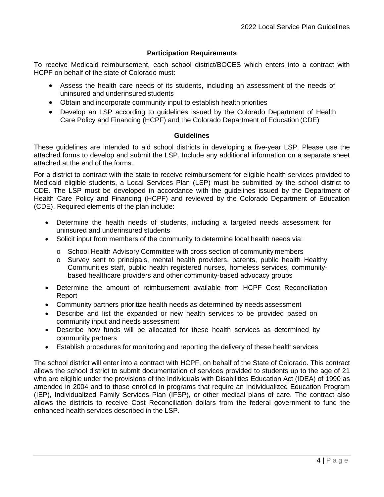#### **Participation Requirements**

<span id="page-3-0"></span>To receive Medicaid reimbursement, each school district/BOCES which enters into a contract with HCPF on behalf of the state of Colorado must:

- Assess the health care needs of its students, including an assessment of the needs of uninsured and underinsured students
- Obtain and incorporate community input to establish health priorities
- Develop an LSP according to guidelines issued by the Colorado Department of Health Care Policy and Financing (HCPF) and the Colorado Department of Education (CDE)

#### **Guidelines**

<span id="page-3-1"></span>These guidelines are intended to aid school districts in developing a five-year LSP. Please use the attached forms to develop and submit the LSP. Include any additional information on a separate sheet attached at the end of the forms.

For a district to contract with the state to receive reimbursement for eligible health services provided to Medicaid eligible students, a Local Services Plan (LSP) must be submitted by the school district to CDE. The LSP must be developed in accordance with the guidelines issued by the Department of Health Care Policy and Financing (HCPF) and reviewed by the Colorado Department of Education (CDE). Required elements of the plan include:

- Determine the health needs of students, including a targeted needs assessment for uninsured and underinsured students
- Solicit input from members of the community to determine local health needs via:
	- o School Health Advisory Committee with cross section of community members
	- o Survey sent to principals, mental health providers, parents, public health Healthy Communities staff, public health registered nurses, homeless services, communitybased healthcare providers and other community-based advocacy groups
- Determine the amount of reimbursement available from HCPF Cost Reconciliation Report
- Community partners prioritize health needs as determined by needs assessment
- Describe and list the expanded or new health services to be provided based on community input and needs assessment
- Describe how funds will be allocated for these health services as determined by community partners
- Establish procedures for monitoring and reporting the delivery of these health services

The school district will enter into a contract with HCPF, on behalf of the State of Colorado. This contract allows the school district to submit documentation of services provided to students up to the age of 21 who are eligible under the provisions of the Individuals with Disabilities Education Act (IDEA) of 1990 as amended in 2004 and to those enrolled in programs that require an Individualized Education Program (IEP), Individualized Family Services Plan (IFSP), or other medical plans of care. The contract also allows the districts to receive Cost Reconciliation dollars from the federal government to fund the enhanced health services described in the LSP.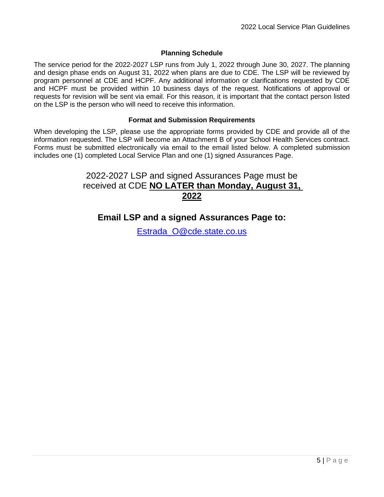#### **Planning Schedule**

<span id="page-4-0"></span>The service period for the 2022-2027 LSP runs from July 1, 2022 through June 30, 2027. The planning and design phase ends on August 31, 2022 when plans are due to CDE. The LSP will be reviewed by program personnel at CDE and HCPF. Any additional information or clarifications requested by CDE and HCPF must be provided within 10 business days of the request. Notifications of approval or requests for revision will be sent via email. For this reason, it is important that the contact person listed on the LSP is the person who will need to receive this information.

#### **Format and Submission Requirements**

<span id="page-4-1"></span>When developing the LSP, please use the appropriate forms provided by CDE and provide all of the information requested. The LSP will become an Attachment B of your School Health Services contract. Forms must be submitted electronically via email to the email listed below. A completed submission includes one (1) completed Local Service Plan and one (1) signed Assurances Page.

### 2022-2027 LSP and signed Assurances Page must be received at CDE **NO LATER than Monday, August 31, 2022**

**Email LSP and a signed Assurances Page to:**

[Estrada\\_O@cde.state.co.us](mailto:Estrada_O@cde.state.co.us)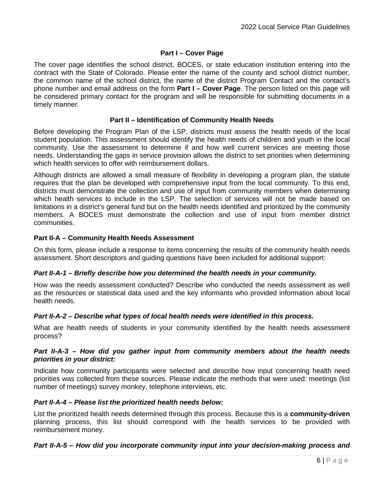#### **Part I – Cover Page**

<span id="page-5-0"></span>The cover page identifies the school district, BOCES, or state education institution entering into the contract with the State of Colorado. Please enter the name of the county and school district number, the common name of the school district, the name of the district Program Contact and the contact's phone number and email address on the form **Part I – Cover Page**. The person listed on this page will be considered primary contact for the program and will be responsible for submitting documents in a timely manner*.*

#### **Part II – Identification of Community Health Needs**

<span id="page-5-1"></span>Before developing the Program Plan of the LSP, districts must assess the health needs of the local student population. This assessment should identify the health needs of children and youth in the local community. Use the assessment to determine if and how well current services are meeting those needs. Understanding the gaps in service provision allows the district to set priorities when determining which health services to offer with reimbursement dollars.

Although districts are allowed a small measure of flexibility in developing a program plan, the statute requires that the plan be developed with comprehensive input from the local community. To this end, districts must demonstrate the collection and use of input from community members when determining which health services to include in the LSP. The selection of services will not be made based on limitations in a district's general fund but on the health needs identified and prioritized by the community members. A BOCES must demonstrate the collection and use of input from member district communities.

#### <span id="page-5-2"></span>**Part II-A – Community Health Needs Assessment**

On this form, please include a response to items concerning the results of the community health needs assessment. Short descriptors and guiding questions have been included for additional support:

#### <span id="page-5-3"></span>*Part II-A-1 – Briefly describe how you determined the health needs in your community.*

How was the needs assessment conducted? Describe who conducted the needs assessment as well as the resources or statistical data used and the key informants who provided information about local health needs.

#### <span id="page-5-4"></span>*Part II-A-2 – Describe what types of local health needs were identified in this process.*

What are health needs of students in your community identified by the health needs assessment process?

#### <span id="page-5-5"></span>*Part II-A-3 – How did you gather input from community members about the health needs priorities in your district:*

Indicate how community participants were selected and describe how input concerning health need priorities was collected from these sources. Please indicate the methods that were used: meetings (list number of meetings) survey monkey, telephone interviews, etc.

#### <span id="page-5-6"></span>*Part II-A-4 – Please list the prioritized health needs below:*

List the prioritized health needs determined through this process. Because this is a **community-driven** planning process, this list should correspond with the health services to be provided with reimbursement money.

#### <span id="page-5-7"></span>*Part II-A-5 – How did you incorporate community input into your decision-making process and*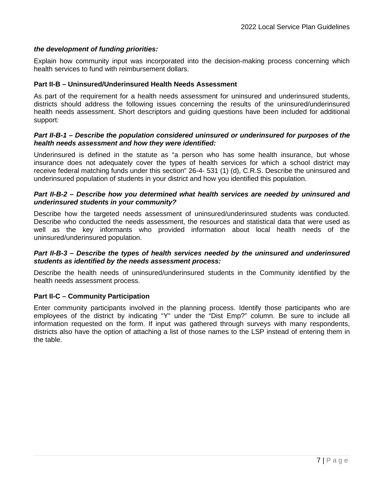#### *the development of funding priorities:*

Explain how community input was incorporated into the decision-making process concerning which health services to fund with reimbursement dollars.

#### <span id="page-6-0"></span>**Part II-B – Uninsured/Underinsured Health Needs Assessment**

As part of the requirement for a health needs assessment for uninsured and underinsured students, districts should address the following issues concerning the results of the uninsured/underinsured health needs assessment. Short descriptors and guiding questions have been included for additional support:

#### <span id="page-6-1"></span>*Part II-B-1 – Describe the population considered uninsured or underinsured for purposes of the health needs assessment and how they were identified:*

Underinsured is defined in the statute as "a person who has some health insurance, but whose insurance does not adequately cover the types of health services for which a school district may receive federal matching funds under this section" 26-4- 531 (1) (d), C.R.S. Describe the uninsured and underinsured population of students in your district and how you identified this population.

#### <span id="page-6-2"></span>*Part II-B-2 – Describe how you determined what health services are needed by uninsured and underinsured students in your community?*

Describe how the targeted needs assessment of uninsured/underinsured students was conducted. Describe who conducted the needs assessment, the resources and statistical data that were used as well as the key informants who provided information about local health needs of the uninsured/underinsured population.

#### <span id="page-6-3"></span>*Part II-B-3 – Describe the types of health services needed by the uninsured and underinsured students as identified by the needs assessment process:*

Describe the health needs of uninsured/underinsured students in the Community identified by the health needs assessment process.

#### <span id="page-6-4"></span>**Part II-C – Community Participation**

Enter community participants involved in the planning process. Identify those participants who are employees of the district by indicating "Y" under the "Dist Emp?" column. Be sure to include all information requested on the form. If input was gathered through surveys with many respondents, districts also have the option of attaching a list of those names to the LSP instead of entering them in the table.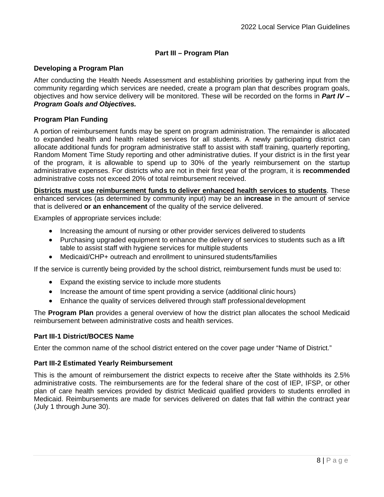#### **Part III – Program Plan**

#### <span id="page-7-0"></span>**Developing a Program Plan**

After conducting the Health Needs Assessment and establishing priorities by gathering input from the community regarding which services are needed, create a program plan that describes program goals, objectives and how service delivery will be monitored. These will be recorded on the forms in *Part IV – Program Goals and Objectives.*

#### **Program Plan Funding**

A portion of reimbursement funds may be spent on program administration. The remainder is allocated to expanded health and health related services for all students. A newly participating district can allocate additional funds for program administrative staff to assist with staff training, quarterly reporting, Random Moment Time Study reporting and other administrative duties. If your district is in the first year of the program, it is allowable to spend up to 30% of the yearly reimbursement on the startup administrative expenses. For districts who are not in their first year of the program, it is **recommended**  administrative costs not exceed 20% of total reimbursement received.

**Districts must use reimbursement funds to deliver enhanced health services to students**. These enhanced services (as determined by community input) may be an **increase** in the amount of service that is delivered **or an enhancement** of the quality of the service delivered.

Examples of appropriate services include:

- Increasing the amount of nursing or other provider services delivered to students
- Purchasing upgraded equipment to enhance the delivery of services to students such as a lift table to assist staff with hygiene services for multiple students
- Medicaid/CHP+ outreach and enrollment to uninsured students/families

If the service is currently being provided by the school district, reimbursement funds must be used to:

- Expand the existing service to include more students
- Increase the amount of time spent providing a service (additional clinic hours)
- Enhance the quality of services delivered through staff professional development

The **Program Plan** provides a general overview of how the district plan allocates the school Medicaid reimbursement between administrative costs and health services.

#### <span id="page-7-1"></span>**Part III-1 District/BOCES Name**

Enter the common name of the school district entered on the cover page under "Name of District."

#### <span id="page-7-2"></span>**Part III-2 Estimated Yearly Reimbursement**

This is the amount of reimbursement the district expects to receive after the State withholds its 2.5% administrative costs. The reimbursements are for the federal share of the cost of IEP, IFSP, or other plan of care health services provided by district Medicaid qualified providers to students enrolled in Medicaid. Reimbursements are made for services delivered on dates that fall within the contract year (July 1 through June 30).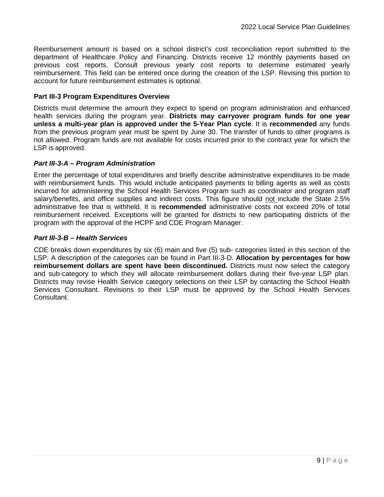Reimbursement amount is based on a school district's cost reconciliation report submitted to the department of Healthcare Policy and Financing. Districts receive 12 monthly payments based on previous cost reports. Consult previous yearly cost reports to determine estimated yearly reimbursement. This field can be entered once during the creation of the LSP. Revising this portion to account for future reimbursement estimates is optional.

#### <span id="page-8-0"></span>**Part III-3 Program Expenditures Overview**

Districts must determine the amount they expect to spend on program administration and enhanced health services during the program year. **Districts may carryover program funds for one year unless a multi-year plan is approved under the 5-Year Plan cycle**. It is **recommended** any funds from the previous program year must be spent by June 30. The transfer of funds to other programs is not allowed. Program funds are not available for costs incurred prior to the contract year for which the LSP is approved.

#### <span id="page-8-1"></span>*Part III-3-A – Program Administration*

Enter the percentage of total expenditures and briefly describe administrative expenditures to be made with reimbursement funds. This would include anticipated payments to billing agents as well as costs incurred for administering the School Health Services Program such as coordinator and program staff salary/benefits, and office supplies and indirect costs. This figure should not include the State 2.5% administrative fee that is withheld. It is **recommended** administrative costs not exceed 20% of total reimbursement received. Exceptions will be granted for districts to new participating districts of the program with the approval of the HCPF and CDE Program Manager.

#### <span id="page-8-2"></span>*Part III-3-B – Health Services*

CDE breaks down expenditures by six (6) main and five (5) sub- categories listed in this section of the LSP. A description of the categories can be found in Part III-3-D. **Allocation by percentages for how reimbursement dollars are spent have been discontinued.** Districts must now select the category and sub-category to which they will allocate reimbursement dollars during their five-year LSP plan. Districts may revise Health Service category selections on their LSP by contacting the School Health Services Consultant. Revisions to their LSP must be approved by the School Health Services Consultant.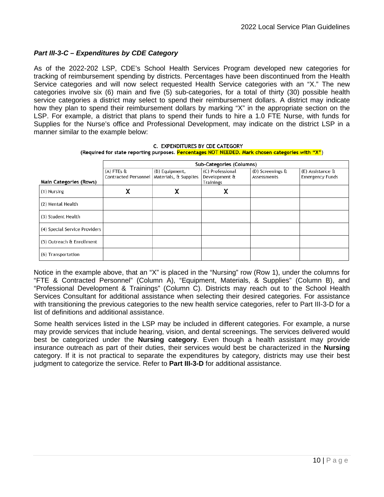#### <span id="page-9-0"></span>*Part III-3-C – Expenditures by CDE Category*

As of the 2022-202 LSP, CDE's School Health Services Program developed new categories for tracking of reimbursement spending by districts. Percentages have been discontinued from the Health Service categories and will now select requested Health Service categories with an "X." The new categories involve six (6) main and five (5) sub-categories, for a total of thirty (30) possible health service categories a district may select to spend their reimbursement dollars. A district may indicate how they plan to spend their reimbursement dollars by marking "X" in the appropriate section on the LSP. For example, a district that plans to spend their funds to hire a 1.0 FTE Nurse, with funds for Supplies for the Nurse's office and Professional Development, may indicate on the district LSP in a manner similar to the example below:

|                               | Sub-Categories (Columns)                     |                |                            |                          |                            |
|-------------------------------|----------------------------------------------|----------------|----------------------------|--------------------------|----------------------------|
|                               | $(A)$ FTEs $\delta t$                        | (B) Equipment, | (C) Professional           | (D) Screenings $\hat{a}$ | $(E)$ Assistance $\hat{a}$ |
| Main Categories (Rows)        | Contracted Personnel   Materials, & Supplies |                | Development &<br>Trainings | Assessments              | <b>Emergency Funds</b>     |
| (1) Nursing                   | х                                            | х              | х                          |                          |                            |
| (2) Mental Health             |                                              |                |                            |                          |                            |
| (3) Student Health            |                                              |                |                            |                          |                            |
| (4) Special Service Providers |                                              |                |                            |                          |                            |
| (5) Outreach & Enrollment     |                                              |                |                            |                          |                            |
| (6) Transportation            |                                              |                |                            |                          |                            |

C. EXPENDITURES BY CDE CATEGORY (Required for state reporting purposes. Percentages NOT NEEDED. Mark chosen categories with "X")

Notice in the example above, that an "X" is placed in the "Nursing" row (Row 1), under the columns for "FTE & Contracted Personnel" (Column A), "Equipment, Materials, & Supplies" (Column B), and "Professional Development & Trainings" (Column C). Districts may reach out to the School Health Services Consultant for additional assistance when selecting their desired categories. For assistance with transitioning the previous categories to the new health service categories, refer to Part III-3-D for a list of definitions and additional assistance.

Some health services listed in the LSP may be included in different categories. For example, a nurse may provide services that include hearing, vision, and dental screenings. The services delivered would best be categorized under the **Nursing category**. Even though a health assistant may provide insurance outreach as part of their duties, their services would best be characterized in the **Nursing**  category. If it is not practical to separate the expenditures by category, districts may use their best judgment to categorize the service. Refer to **Part III-3-D** for additional assistance.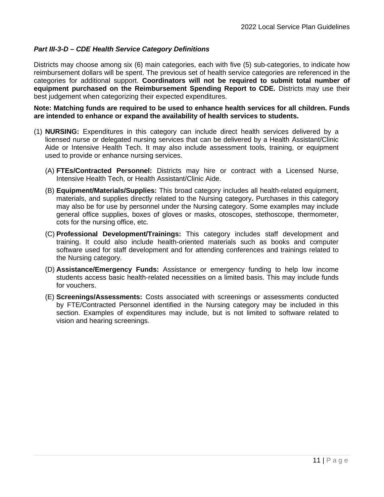#### <span id="page-10-0"></span>*Part III-3-D – CDE Health Service Category Definitions*

Districts may choose among six (6) main categories, each with five (5) sub-categories, to indicate how reimbursement dollars will be spent. The previous set of health service categories are referenced in the categories for additional support. **Coordinators will not be required to submit total number of equipment purchased on the Reimbursement Spending Report to CDE.** Districts may use their best judgement when categorizing their expected expenditures.

**Note: Matching funds are required to be used to enhance health services for all children. Funds are intended to enhance or expand the availability of health services to students.**

- (1) **NURSING:** Expenditures in this category can include direct health services delivered by a licensed nurse or delegated nursing services that can be delivered by a Health Assistant/Clinic Aide or Intensive Health Tech. It may also include assessment tools, training, or equipment used to provide or enhance nursing services.
	- (A) **FTEs/Contracted Personnel:** Districts may hire or contract with a Licensed Nurse, Intensive Health Tech, or Health Assistant/Clinic Aide.
	- (B) **Equipment/Materials/Supplies:** This broad category includes all health-related equipment, materials, and supplies directly related to the Nursing category**.** Purchases in this category may also be for use by personnel under the Nursing category. Some examples may include general office supplies, boxes of gloves or masks, otoscopes, stethoscope, thermometer, cots for the nursing office, etc.
	- (C) **Professional Development/Trainings:** This category includes staff development and training. It could also include health-oriented materials such as books and computer software used for staff development and for attending conferences and trainings related to the Nursing category.
	- (D) **Assistance/Emergency Funds:** Assistance or emergency funding to help low income students access basic health-related necessities on a limited basis. This may include funds for vouchers.
	- (E) **Screenings/Assessments:** Costs associated with screenings or assessments conducted by FTE/Contracted Personnel identified in the Nursing category may be included in this section. Examples of expenditures may include, but is not limited to software related to vision and hearing screenings.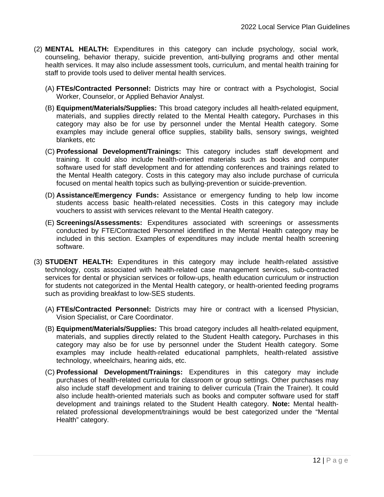- (2) **MENTAL HEALTH:** Expenditures in this category can include psychology, social work, counseling, behavior therapy, suicide prevention, anti-bullying programs and other mental health services. It may also include assessment tools, curriculum, and mental health training for staff to provide tools used to deliver mental health services.
	- (A) **FTEs/Contracted Personnel:** Districts may hire or contract with a Psychologist, Social Worker, Counselor, or Applied Behavior Analyst.
	- (B) **Equipment/Materials/Supplies:** This broad category includes all health-related equipment, materials, and supplies directly related to the Mental Health category**.** Purchases in this category may also be for use by personnel under the Mental Health category. Some examples may include general office supplies, stability balls, sensory swings, weighted blankets, etc
	- (C) **Professional Development/Trainings:** This category includes staff development and training. It could also include health-oriented materials such as books and computer software used for staff development and for attending conferences and trainings related to the Mental Health category. Costs in this category may also include purchase of curricula focused on mental health topics such as bullying-prevention or suicide-prevention.
	- (D) **Assistance/Emergency Funds:** Assistance or emergency funding to help low income students access basic health-related necessities. Costs in this category may include vouchers to assist with services relevant to the Mental Health category.
	- (E) **Screenings/Assessments:** Expenditures associated with screenings or assessments conducted by FTE/Contracted Personnel identified in the Mental Health category may be included in this section. Examples of expenditures may include mental health screening software.
- (3) **STUDENT HEALTH:** Expenditures in this category may include health-related assistive technology, costs associated with health-related case management services, sub-contracted services for dental or physician services or follow-ups, health education curriculum or instruction for students not categorized in the Mental Health category, or health-oriented feeding programs such as providing breakfast to low-SES students.
	- (A) **FTEs/Contracted Personnel:** Districts may hire or contract with a licensed Physician, Vision Specialist, or Care Coordinator.
	- (B) **Equipment/Materials/Supplies:** This broad category includes all health-related equipment, materials, and supplies directly related to the Student Health category**.** Purchases in this category may also be for use by personnel under the Student Health category. Some examples may include health-related educational pamphlets, health-related assistive technology, wheelchairs, hearing aids, etc.
	- (C) **Professional Development/Trainings:** Expenditures in this category may include purchases of health-related curricula for classroom or group settings. Other purchases may also include staff development and training to deliver curricula (Train the Trainer). It could also include health-oriented materials such as books and computer software used for staff development and trainings related to the Student Health category. **Note:** Mental healthrelated professional development/trainings would be best categorized under the "Mental Health" category.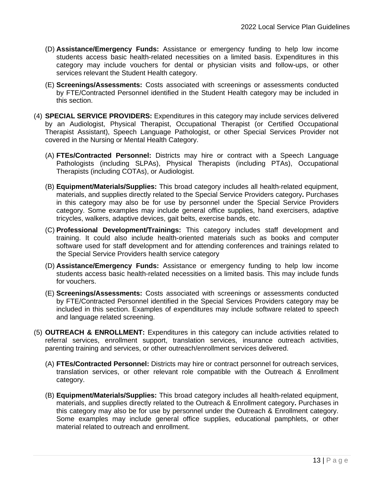- (D) **Assistance/Emergency Funds:** Assistance or emergency funding to help low income students access basic health-related necessities on a limited basis. Expenditures in this category may include vouchers for dental or physician visits and follow-ups, or other services relevant the Student Health category.
- (E) **Screenings/Assessments:** Costs associated with screenings or assessments conducted by FTE/Contracted Personnel identified in the Student Health category may be included in this section.
- (4) **SPECIAL SERVICE PROVIDERS:** Expenditures in this category may include services delivered by an Audiologist, Physical Therapist, Occupational Therapist (or Certified Occupational Therapist Assistant), Speech Language Pathologist, or other Special Services Provider not covered in the Nursing or Mental Health Category.
	- (A) **FTEs/Contracted Personnel:** Districts may hire or contract with a Speech Language Pathologists (including SLPAs), Physical Therapists (including PTAs), Occupational Therapists (including COTAs), or Audiologist.
	- (B) **Equipment/Materials/Supplies:** This broad category includes all health-related equipment, materials, and supplies directly related to the Special Service Providers category**.** Purchases in this category may also be for use by personnel under the Special Service Providers category. Some examples may include general office supplies, hand exercisers, adaptive tricycles, walkers, adaptive devices, gait belts, exercise bands, etc.
	- (C) **Professional Development/Trainings:** This category includes staff development and training. It could also include health-oriented materials such as books and computer software used for staff development and for attending conferences and trainings related to the Special Service Providers health service category
	- (D) **Assistance/Emergency Funds:** Assistance or emergency funding to help low income students access basic health-related necessities on a limited basis. This may include funds for vouchers.
	- (E) **Screenings/Assessments:** Costs associated with screenings or assessments conducted by FTE/Contracted Personnel identified in the Special Services Providers category may be included in this section. Examples of expenditures may include software related to speech and language related screening.
- (5) **OUTREACH & ENROLLMENT:** Expenditures in this category can include activities related to referral services, enrollment support, translation services, insurance outreach activities, parenting training and services, or other outreach/enrollment services delivered.
	- (A) **FTEs/Contracted Personnel:** Districts may hire or contract personnel for outreach services, translation services, or other relevant role compatible with the Outreach & Enrollment category.
	- (B) **Equipment/Materials/Supplies:** This broad category includes all health-related equipment, materials, and supplies directly related to the Outreach & Enrollment category**.** Purchases in this category may also be for use by personnel under the Outreach & Enrollment category. Some examples may include general office supplies, educational pamphlets, or other material related to outreach and enrollment.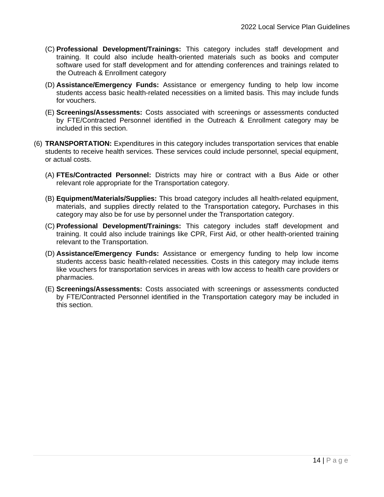- (C) **Professional Development/Trainings:** This category includes staff development and training. It could also include health-oriented materials such as books and computer software used for staff development and for attending conferences and trainings related to the Outreach & Enrollment category
- (D) **Assistance/Emergency Funds:** Assistance or emergency funding to help low income students access basic health-related necessities on a limited basis. This may include funds for vouchers.
- (E) **Screenings/Assessments:** Costs associated with screenings or assessments conducted by FTE/Contracted Personnel identified in the Outreach & Enrollment category may be included in this section.
- (6) **TRANSPORTATION:** Expenditures in this category includes transportation services that enable students to receive health services. These services could include personnel, special equipment, or actual costs.
	- (A) **FTEs/Contracted Personnel:** Districts may hire or contract with a Bus Aide or other relevant role appropriate for the Transportation category.
	- (B) **Equipment/Materials/Supplies:** This broad category includes all health-related equipment, materials, and supplies directly related to the Transportation category**.** Purchases in this category may also be for use by personnel under the Transportation category.
	- (C) **Professional Development/Trainings:** This category includes staff development and training. It could also include trainings like CPR, First Aid, or other health-oriented training relevant to the Transportation.
	- (D) **Assistance/Emergency Funds:** Assistance or emergency funding to help low income students access basic health-related necessities. Costs in this category may include items like vouchers for transportation services in areas with low access to health care providers or pharmacies.
	- (E) **Screenings/Assessments:** Costs associated with screenings or assessments conducted by FTE/Contracted Personnel identified in the Transportation category may be included in this section.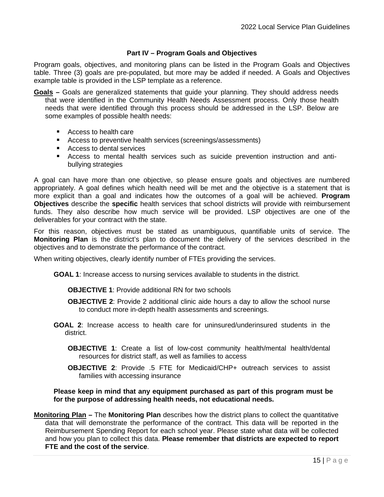#### **Part IV – Program Goals and Objectives**

<span id="page-14-0"></span>Program goals, objectives, and monitoring plans can be listed in the Program Goals and Objectives table. Three (3) goals are pre-populated, but more may be added if needed. A Goals and Objectives example table is provided in the LSP template as a reference.

- **Goals –** Goals are generalized statements that guide your planning. They should address needs that were identified in the Community Health Needs Assessment process. Only those health needs that were identified through this process should be addressed in the LSP. Below are some examples of possible health needs:
	- Access to health care
	- Access to preventive health services (screenings/assessments)
	- Access to dental services
	- Access to mental health services such as suicide prevention instruction and antibullying strategies

A goal can have more than one objective, so please ensure goals and objectives are numbered appropriately. A goal defines which health need will be met and the objective is a statement that is more explicit than a goal and indicates how the outcomes of a goal will be achieved. **Program Objectives** describe the **specific** health services that school districts will provide with reimbursement funds. They also describe how much service will be provided. LSP objectives are one of the deliverables for your contract with the state.

For this reason, objectives must be stated as unambiguous, quantifiable units of service. The **Monitoring Plan** is the district's plan to document the delivery of the services described in the objectives and to demonstrate the performance of the contract.

When writing objectives, clearly identify number of FTEs providing the services.

**GOAL 1**: Increase access to nursing services available to students in the district.

**OBJECTIVE 1**: Provide additional RN for two schools

- **OBJECTIVE 2:** Provide 2 additional clinic aide hours a day to allow the school nurse to conduct more in-depth health assessments and screenings.
- **GOAL 2**: Increase access to health care for uninsured/underinsured students in the district.
	- **OBJECTIVE 1**: Create a list of low-cost community health/mental health/dental resources for district staff, as well as families to access
	- **OBJECTIVE 2**: Provide .5 FTE for Medicaid/CHP+ outreach services to assist families with accessing insurance

**Please keep in mind that any equipment purchased as part of this program must be for the purpose of addressing health needs, not educational needs.**

**Monitoring Plan –** The **Monitoring Plan** describes how the district plans to collect the quantitative data that will demonstrate the performance of the contract. This data will be reported in the Reimbursement Spending Report for each school year. Please state what data will be collected and how you plan to collect this data. **Please remember that districts are expected to report FTE and the cost of the service**.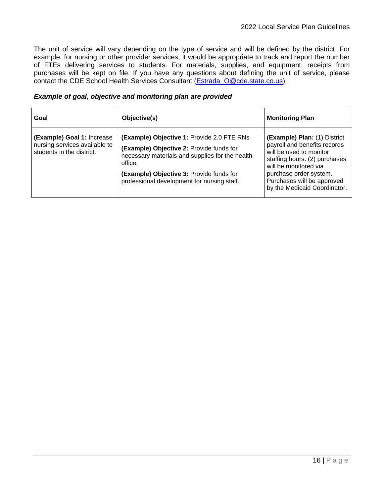The unit of service will vary depending on the type of service and will be defined by the district. For example, for nursing or other provider services, it would be appropriate to track and report the number of FTEs delivering services to students. For materials, supplies, and equipment, receipts from purchases will be kept on file. If you have any questions about defining the unit of service, please contact the CDE School Health Services Consultant [\(Estrada\\_O@cde.state.co.us\)](mailto:Estrada_O@cde.state.co.us).

| Goal                                                                                     | Objective(s)                                                                                                                                                                                                                                           | <b>Monitoring Plan</b>                                                                                                                                                                                                                    |
|------------------------------------------------------------------------------------------|--------------------------------------------------------------------------------------------------------------------------------------------------------------------------------------------------------------------------------------------------------|-------------------------------------------------------------------------------------------------------------------------------------------------------------------------------------------------------------------------------------------|
| (Example) Goal 1: Increase<br>nursing services available to<br>students in the district. | <b>(Example) Objective 1: Provide 2.0 FTE RNs</b><br>(Example) Objective 2: Provide funds for<br>necessary materials and supplies for the health<br>office.<br>(Example) Objective 3: Provide funds for<br>professional development for nursing staff. | (Example) Plan: (1) District<br>payroll and benefits records<br>will be used to monitor<br>staffing hours. (2) purchases<br>will be monitored via<br>purchase order system.<br>Purchases will be approved<br>by the Medicaid Coordinator. |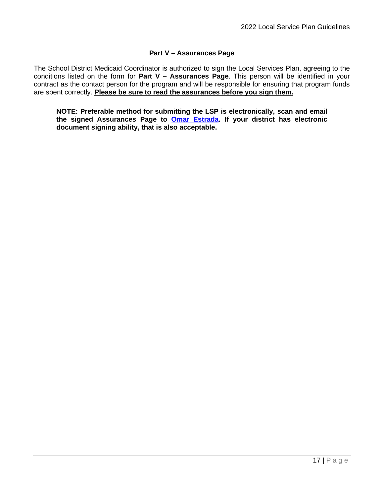#### **Part V – Assurances Page**

<span id="page-16-0"></span>The School District Medicaid Coordinator is authorized to sign the Local Services Plan, agreeing to the conditions listed on the form for **Part V – Assurances Page**. This person will be identified in your contract as the contact person for the program and will be responsible for ensuring that program funds are spent correctly. **Please be sure to read the assurances before you sign them.**

**NOTE: Preferable method for submitting the LSP is electronically, scan and email the signed Assurances Page to [Omar Estrada.](mailto:Estrada_O@cde.state.co.us) If your district has electronic document signing ability, that is also acceptable.**